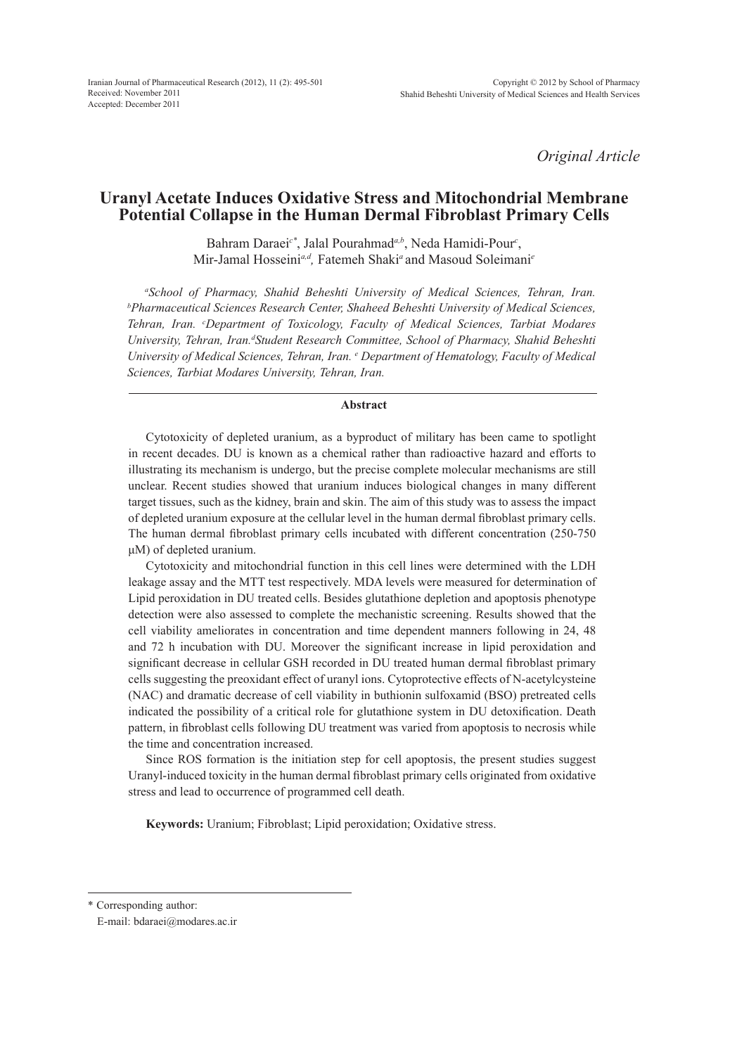*Original Article*

# **Uranyl Acetate Induces Oxidative Stress and Mitochondrial Membrane Potential Collapse in the Human Dermal Fibroblast Primary Cells**

Bahram Daraei*c\**, Jalal Pourahmad*a,b*, Neda Hamidi-Pour*<sup>c</sup>* , Mir-Jamal Hosseini*a,d,* Fatemeh Shaki*<sup>a</sup>*and Masoud Soleimani*<sup>e</sup>*

*a School of Pharmacy, Shahid Beheshti University of Medical Sciences, Tehran, Iran. b Pharmaceutical Sciences Research Center, Shaheed Beheshti University of Medical Sciences, Tehran, Iran. c Department of Toxicology, Faculty of Medical Sciences, Tarbiat Modares*  University, Tehran, Iran.<sup>d</sup> Student Research Committee, School of Pharmacy, Shahid Beheshti *University of Medical Sciences, Tehran, Iran. e Department of Hematology, Faculty of Medical Sciences, Tarbiat Modares University, Tehran, Iran.*

### **Abstract**

Cytotoxicity of depleted uranium, as a byproduct of military has been came to spotlight in recent decades. DU is known as a chemical rather than radioactive hazard and efforts to illustrating its mechanism is undergo, but the precise complete molecular mechanisms are still unclear. Recent studies showed that uranium induces biological changes in many different target tissues, such as the kidney, brain and skin. The aim of this study was to assess the impact of depleted uranium exposure at the cellular level in the human dermal fibroblast primary cells. The human dermal fibroblast primary cells incubated with different concentration (250-750 μM) of depleted uranium.

Cytotoxicity and mitochondrial function in this cell lines were determined with the LDH leakage assay and the MTT test respectively. MDA levels were measured for determination of Lipid peroxidation in DU treated cells. Besides glutathione depletion and apoptosis phenotype detection were also assessed to complete the mechanistic screening. Results showed that the cell viability ameliorates in concentration and time dependent manners following in 24, 48 and 72 h incubation with DU. Moreover the significant increase in lipid peroxidation and significant decrease in cellular GSH recorded in DU treated human dermal fibroblast primary cells suggesting the preoxidant effect of uranyl ions. Cytoprotective effects of N-acetylcysteine (NAC) and dramatic decrease of cell viability in buthionin sulfoxamid (BSO) pretreated cells indicated the possibility of a critical role for glutathione system in DU detoxification. Death pattern, in fibroblast cells following DU treatment was varied from apoptosis to necrosis while the time and concentration increased.

Since ROS formation is the initiation step for cell apoptosis, the present studies suggest Uranyl-induced toxicity in the human dermal fibroblast primary cells originated from oxidative stress and lead to occurrence of programmed cell death.

**Keywords:** Uranium; Fibroblast; Lipid peroxidation; Oxidative stress.

<sup>\*</sup> Corresponding author:

E-mail: bdaraei@modares.ac.ir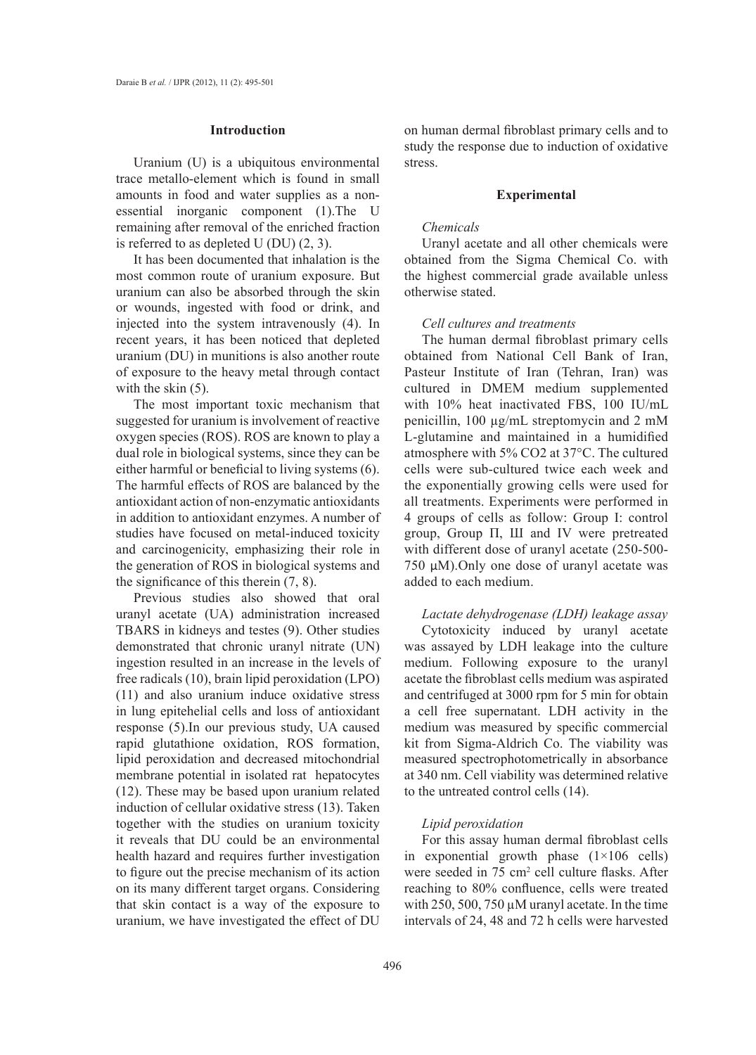#### **Introduction**

Uranium (U) is a ubiquitous environmental trace metallo-element which is found in small amounts in food and water supplies as a nonessential inorganic component (1).The U remaining after removal of the enriched fraction is referred to as depleted U (DU) (2, 3).

It has been documented that inhalation is the most common route of uranium exposure. But uranium can also be absorbed through the skin or wounds, ingested with food or drink, and injected into the system intravenously (4). In recent years, it has been noticed that depleted uranium (DU) in munitions is also another route of exposure to the heavy metal through contact with the skin  $(5)$ .

The most important toxic mechanism that suggested for uranium is involvement of reactive oxygen species (ROS). ROS are known to play a dual role in biological systems, since they can be either harmful or beneficial to living systems (6). The harmful effects of ROS are balanced by the antioxidant action of non-enzymatic antioxidants in addition to antioxidant enzymes. A number of studies have focused on metal-induced toxicity and carcinogenicity, emphasizing their role in the generation of ROS in biological systems and the significance of this therein (7, 8).

Previous studies also showed that oral uranyl acetate (UA) administration increased TBARS in kidneys and testes (9). Other studies demonstrated that chronic uranyl nitrate (UN) ingestion resulted in an increase in the levels of free radicals (10), brain lipid peroxidation (LPO) (11) and also uranium induce oxidative stress in lung epitehelial cells and loss of antioxidant response (5).In our previous study, UA caused rapid glutathione oxidation, ROS formation, lipid peroxidation and decreased mitochondrial membrane potential in isolated rat hepatocytes (12). These may be based upon uranium related induction of cellular oxidative stress (13). Taken together with the studies on uranium toxicity it reveals that DU could be an environmental health hazard and requires further investigation to figure out the precise mechanism of its action on its many different target organs. Considering that skin contact is a way of the exposure to uranium, we have investigated the effect of DU

on human dermal fibroblast primary cells and to study the response due to induction of oxidative stress.

## **Experimental**

### *Chemicals*

Uranyl acetate and all other chemicals were obtained from the Sigma Chemical Co. with the highest commercial grade available unless otherwise stated.

#### *Cell cultures and treatments*

The human dermal fibroblast primary cells obtained from National Cell Bank of Iran, Pasteur Institute of Iran (Tehran, Iran) was cultured in DMEM medium supplemented with 10% heat inactivated FBS, 100 IU/mL penicillin, 100 µg/mL streptomycin and 2 mM L-glutamine and maintained in a humidified atmosphere with 5% CO2 at 37°C. The cultured cells were sub-cultured twice each week and the exponentially growing cells were used for all treatments. Experiments were performed in 4 groups of cells as follow: Group Ι: control group, Group П, Ш and IV were pretreated with different dose of uranyl acetate (250-500- 750 µM).Only one dose of uranyl acetate was added to each medium.

*Lactate dehydrogenase (LDH) leakage assay* Cytotoxicity induced by uranyl acetate was assayed by LDH leakage into the culture medium. Following exposure to the uranyl acetate the fibroblast cells medium was aspirated and centrifuged at 3000 rpm for 5 min for obtain a cell free supernatant. LDH activity in the medium was measured by specific commercial kit from Sigma-Aldrich Co. The viability was measured spectrophotometrically in absorbance at 340 nm. Cell viability was determined relative to the untreated control cells (14).

## *Lipid peroxidation*

For this assay human dermal fibroblast cells in exponential growth phase  $(1 \times 106 \text{ cells})$ were seeded in 75 cm<sup>2</sup> cell culture flasks. After reaching to 80% confluence, cells were treated with 250, 500, 750  $\mu$ M uranyl acetate. In the time intervals of 24, 48 and 72 h cells were harvested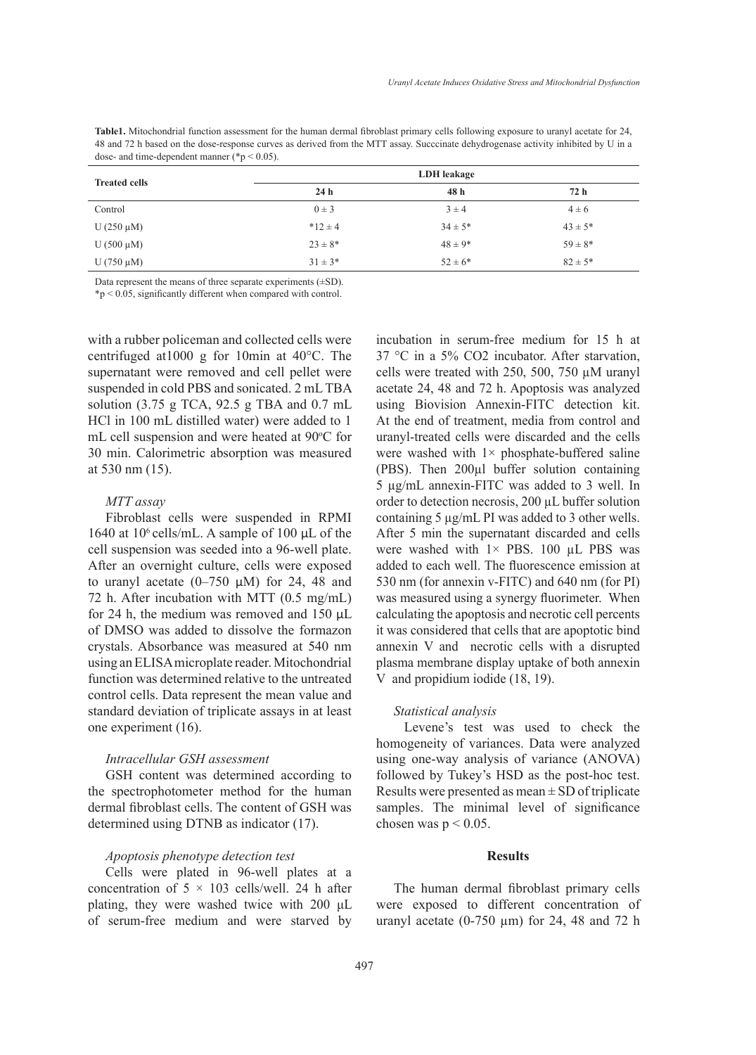**Table1.** Mitochondrial function assessment for the human dermal fibroblast primary cells following exposure to uranyl acetate for 24, 48 and 72 h based on the dose-response curves as derived from the MTT assay. Succcinate dehydrogenase activity inhibited by U in a dose- and time-dependent manner (\*p < 0.05).

|                      | LDH leakage     |             |              |  |  |  |
|----------------------|-----------------|-------------|--------------|--|--|--|
| <b>Treated cells</b> | 24 <sub>h</sub> | 48 h        | 72 h         |  |  |  |
| Control              | $0 \pm 3$       | $3 \pm 4$   | $4 \pm 6$    |  |  |  |
| U $(250 \mu M)$      | $*12 \pm 4$     | $34 \pm 5*$ | $43 \pm 5^*$ |  |  |  |
| U $(500 \mu M)$      | $23 \pm 8^*$    | $48 \pm 9*$ | $59 \pm 8*$  |  |  |  |
| U $(750 \mu M)$      | $31 \pm 3*$     | $52 \pm 6*$ | $82 \pm 5*$  |  |  |  |

Data represent the means of three separate experiments  $(\pm SD)$ .

\*p < 0.05, significantly different when compared with control.

with a rubber policeman and collected cells were centrifuged at1000 g for 10min at 40°C. The supernatant were removed and cell pellet were suspended in cold PBS and sonicated. 2 mL TBA solution (3.75 g TCA, 92.5 g TBA and 0.7 mL HCl in 100 mL distilled water) were added to 1 mL cell suspension and were heated at 90°C for 30 min. Calorimetric absorption was measured at 530 nm (15).

### *MTT assay*

Fibroblast cells were suspended in RPMI 1640 at  $10^6$  cells/mL. A sample of 100  $\mu$ L of the cell suspension was seeded into a 96-well plate. After an overnight culture, cells were exposed to uranyl acetate  $(0-750 \mu M)$  for 24, 48 and 72 h. After incubation with MTT (0.5 mg/mL) for 24 h, the medium was removed and  $150 \mu L$ of DMSO was added to dissolve the formazon crystals. Absorbance was measured at 540 nm using an ELISA microplate reader. Mitochondrial function was determined relative to the untreated control cells. Data represent the mean value and standard deviation of triplicate assays in at least one experiment (16).

#### *Intracellular GSH assessment*

GSH content was determined according to the spectrophotometer method for the human dermal fibroblast cells. The content of GSH was determined using DTNB as indicator (17).

### *Apoptosis phenotype detection test*

Cells were plated in 96-well plates at a concentration of  $5 \times 103$  cells/well. 24 h after plating, they were washed twice with 200 μL of serum-free medium and were starved by incubation in serum-free medium for 15 h at 37 °C in a 5% CO2 incubator. After starvation, cells were treated with 250, 500, 750 µM uranyl acetate 24, 48 and 72 h. Apoptosis was analyzed using Biovision Annexin-FITC detection kit. At the end of treatment, media from control and uranyl-treated cells were discarded and the cells were washed with  $1 \times$  phosphate-buffered saline (PBS). Then 200µl buffer solution containing 5 µg/mL annexin-FITC was added to 3 well. In order to detection necrosis, 200 µL buffer solution containing 5 µg/mL PI was added to 3 other wells. After 5 min the supernatant discarded and cells were washed with  $1 \times$  PBS. 100 µL PBS was added to each well. The fluorescence emission at 530 nm (for annexin v-FITC) and 640 nm (for PI) was measured using a synergy fluorimeter. When calculating the apoptosis and necrotic cell percents it was considered that cells that are apoptotic bind annexin V and necrotic cells with a disrupted plasma membrane display uptake of both annexin V and propidium iodide (18, 19).

#### *Statistical analysis*

Levene's test was used to check the homogeneity of variances. Data were analyzed using one-way analysis of variance (ANOVA) followed by Tukey's HSD as the post-hoc test. Results were presented as mean  $\pm$  SD of triplicate samples. The minimal level of significance chosen was  $p \leq 0.05$ .

# **Results**

The human dermal fibroblast primary cells were exposed to different concentration of uranyl acetate  $(0-750 \mu m)$  for 24, 48 and 72 h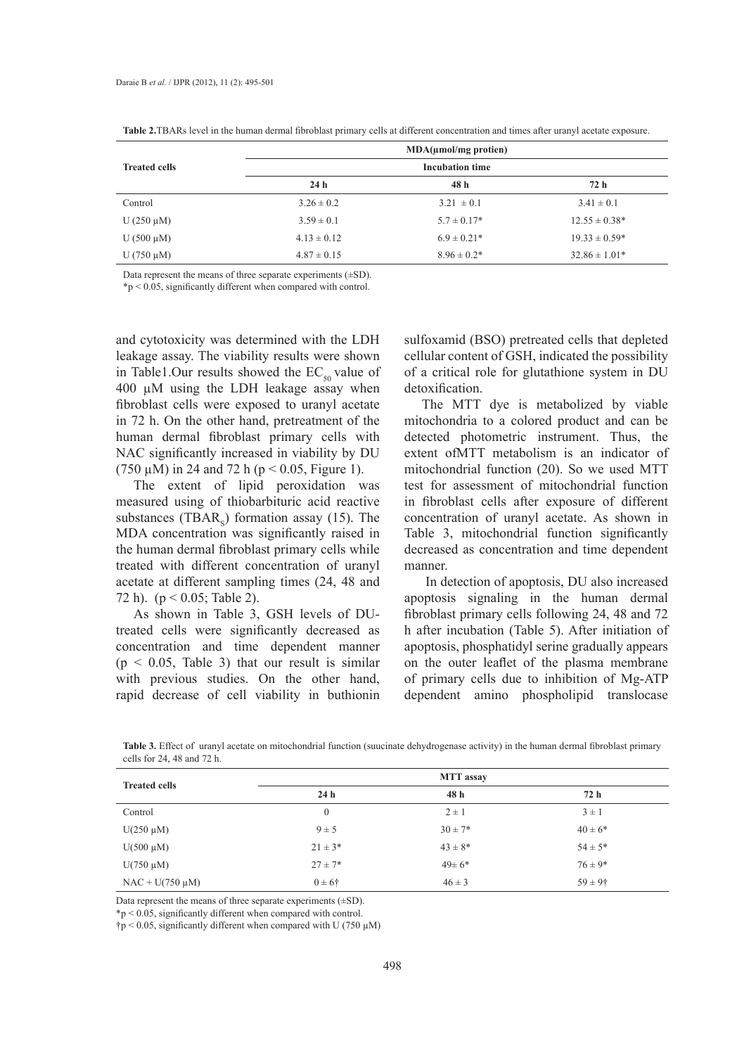|                      |                 | MDA(numol/mg protein)  |                    |
|----------------------|-----------------|------------------------|--------------------|
| <b>Treated cells</b> |                 | <b>Incubation time</b> |                    |
|                      | 24 <sub>h</sub> | 48 h                   | 72 h               |
| Control              | $3.26 \pm 0.2$  | $3.21 \pm 0.1$         | $3.41 \pm 0.1$     |
| U $(250 \mu M)$      | $3.59 \pm 0.1$  | $5.7 \pm 0.17*$        | $12.55 \pm 0.38^*$ |
| U $(500 \mu M)$      | $4.13 \pm 0.12$ | $6.9 \pm 0.21*$        | $19.33 \pm 0.59*$  |
| U $(750 \mu M)$      | $4.87 \pm 0.15$ | $8.96 \pm 0.2^*$       | $32.86 \pm 1.01*$  |

**Table 2.**TBARs level in the human dermal fibroblast primary cells at different concentration and times after uranyl acetate exposure.

Data represent the means of three separate experiments  $(\pm SD)$ .

\*p < 0.05, significantly different when compared with control.

and cytotoxicity was determined with the LDH leakage assay. The viability results were shown in Table1.Our results showed the  $EC_{50}$  value of 400 µM using the LDH leakage assay when fibroblast cells were exposed to uranyl acetate in 72 h. On the other hand, pretreatment of the human dermal fibroblast primary cells with NAC significantly increased in viability by DU (750  $\mu$ M) in 24 and 72 h (p < 0.05, Figure 1).

The extent of lipid peroxidation was measured using of thiobarbituric acid reactive substances  $(TBAR<sub>s</sub>)$  formation assay (15). The MDA concentration was significantly raised in the human dermal fibroblast primary cells while treated with different concentration of uranyl acetate at different sampling times (24, 48 and 72 h). ( $p < 0.05$ ; Table 2).

As shown in Table 3, GSH levels of DUtreated cells were significantly decreased as concentration and time dependent manner  $(p < 0.05$ , Table 3) that our result is similar with previous studies. On the other hand, rapid decrease of cell viability in buthionin sulfoxamid (BSO) pretreated cells that depleted cellular content of GSH, indicated the possibility of a critical role for glutathione system in DU detoxification.

The MTT dye is metabolized by viable mitochondria to a colored product and can be detected photometric instrument. Thus, the extent ofMTT metabolism is an indicator of mitochondrial function (20). So we used MTT test for assessment of mitochondrial function in fibroblast cells after exposure of different concentration of uranyl acetate. As shown in Table 3, mitochondrial function significantly decreased as concentration and time dependent manner.

 In detection of apoptosis, DU also increased apoptosis signaling in the human dermal fibroblast primary cells following 24, 48 and 72 h after incubation (Table 5). After initiation of apoptosis, phosphatidyl serine gradually appears on the outer leaflet of the plasma membrane of primary cells due to inhibition of Mg-ATP dependent amino phospholipid translocase

**Table 3.** Effect of uranyl acetate on mitochondrial function (suucinate dehydrogenase activity) in the human dermal fibroblast primary cells for 24, 48 and 72 h.

| <b>Treated cells</b> | <b>MTT</b> assay    |              |              |  |  |
|----------------------|---------------------|--------------|--------------|--|--|
|                      | 24 <sub>h</sub>     | 48h          | 72 h         |  |  |
| Control              | $\mathbf{0}$        | $2 \pm 1$    | $3 \pm 1$    |  |  |
| $U(250 \mu M)$       | $9 \pm 5$           | $30 \pm 7*$  | $40 \pm 6*$  |  |  |
| $U(500 \mu M)$       | $21 \pm 3*$         | $43 \pm 8^*$ | $54 \pm 5*$  |  |  |
| $U(750 \mu M)$       | $27 \pm 7*$         | $49 \pm 6*$  | $76 \pm 9*$  |  |  |
| $NAC + U(750 \mu M)$ | $0 \pm 6^{\dagger}$ | $46 \pm 3$   | $59 \pm 9$ † |  |  |

Data represent the means of three separate experiments  $(\pm SD)$ .

\*p < 0.05, significantly different when compared with control.

 $\uparrow$ p < 0.05, significantly different when compared with U (750 µM)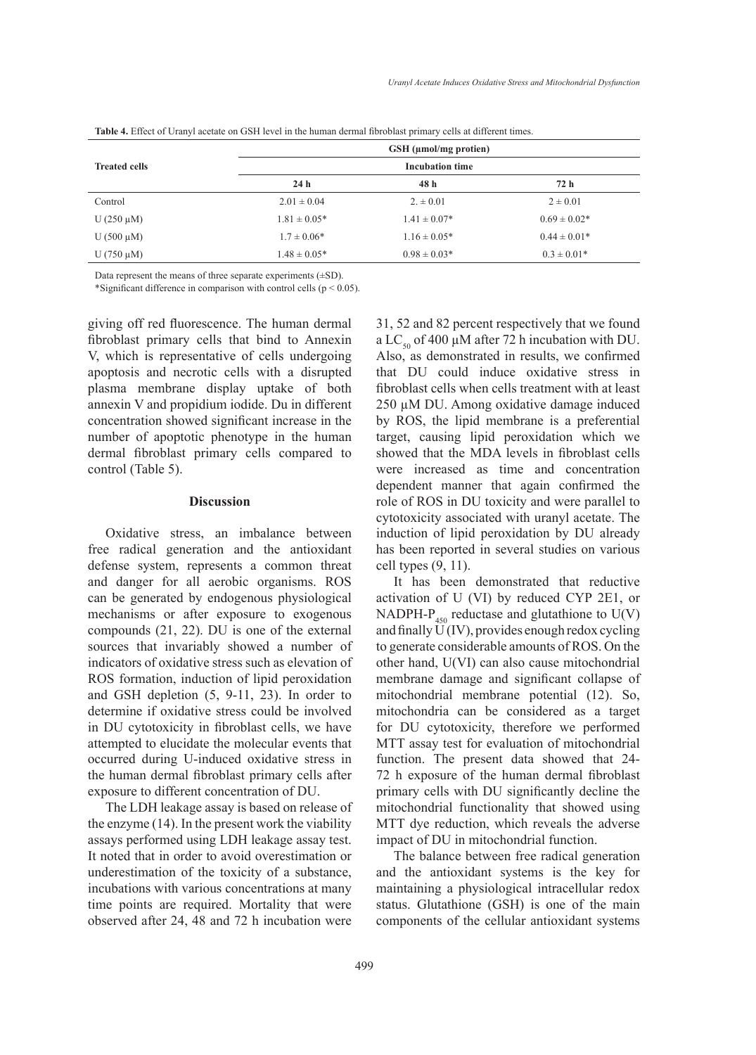|                      |                  | $GSH$ (µmol/mg protien) |                  |
|----------------------|------------------|-------------------------|------------------|
| <b>Treated cells</b> |                  | <b>Incubation time</b>  |                  |
|                      | 24 <sub>h</sub>  | 48h                     | 72 h             |
| Control              | $2.01 \pm 0.04$  | $2. \pm 0.01$           | $2 \pm 0.01$     |
| U $(250 \mu M)$      | $1.81 \pm 0.05*$ | $1.41 \pm 0.07*$        | $0.69 \pm 0.02*$ |
| U $(500 \mu M)$      | $1.7 \pm 0.06*$  | $1.16 \pm 0.05*$        | $0.44 \pm 0.01*$ |
| U $(750 \mu M)$      | $1.48 \pm 0.05*$ | $0.98 \pm 0.03*$        | $0.3 \pm 0.01*$  |
|                      |                  |                         |                  |

**Table 4.** Effect of Uranyl acetate on GSH level in the human dermal fibroblast primary cells at different times.

Data represent the means of three separate experiments (±SD).

\*Significant difference in comparison with control cells ( $p < 0.05$ ).

giving off red fluorescence. The human dermal fibroblast primary cells that bind to Annexin V, which is representative of cells undergoing apoptosis and necrotic cells with a disrupted plasma membrane display uptake of both annexin V and propidium iodide. Du in different concentration showed significant increase in the number of apoptotic phenotype in the human dermal fibroblast primary cells compared to control (Table 5).

#### **Discussion**

Oxidative stress, an imbalance between free radical generation and the antioxidant defense system, represents a common threat and danger for all aerobic organisms. ROS can be generated by endogenous physiological mechanisms or after exposure to exogenous compounds (21, 22). DU is one of the external sources that invariably showed a number of indicators of oxidative stress such as elevation of ROS formation, induction of lipid peroxidation and GSH depletion (5, 9-11, 23). In order to determine if oxidative stress could be involved in DU cytotoxicity in fibroblast cells, we have attempted to elucidate the molecular events that occurred during U-induced oxidative stress in the human dermal fibroblast primary cells after exposure to different concentration of DU.

The LDH leakage assay is based on release of the enzyme (14). In the present work the viability assays performed using LDH leakage assay test. It noted that in order to avoid overestimation or underestimation of the toxicity of a substance, incubations with various concentrations at many time points are required. Mortality that were observed after 24, 48 and 72 h incubation were 31, 52 and 82 percent respectively that we found a LC<sub>50</sub> of 400  $\mu$ M after 72 h incubation with DU. Also, as demonstrated in results, we confirmed that DU could induce oxidative stress in fibroblast cells when cells treatment with at least 250 µM DU. Among oxidative damage induced by ROS, the lipid membrane is a preferential target, causing lipid peroxidation which we showed that the MDA levels in fibroblast cells were increased as time and concentration dependent manner that again confirmed the role of ROS in DU toxicity and were parallel to cytotoxicity associated with uranyl acetate. The induction of lipid peroxidation by DU already has been reported in several studies on various cell types (9, 11).

It has been demonstrated that reductive activation of U (VI) by reduced CYP 2E1, or NADPH- $P_{450}$  reductase and glutathione to U(V) and finally  $\widetilde{U}(IV)$ , provides enough redox cycling to generate considerable amounts of ROS. On the other hand, U(VI) can also cause mitochondrial membrane damage and significant collapse of mitochondrial membrane potential (12). So, mitochondria can be considered as a target for DU cytotoxicity, therefore we performed MTT assay test for evaluation of mitochondrial function. The present data showed that 24- 72 h exposure of the human dermal fibroblast primary cells with DU significantly decline the mitochondrial functionality that showed using MTT dye reduction, which reveals the adverse impact of DU in mitochondrial function.

The balance between free radical generation and the antioxidant systems is the key for maintaining a physiological intracellular redox status. Glutathione (GSH) is one of the main components of the cellular antioxidant systems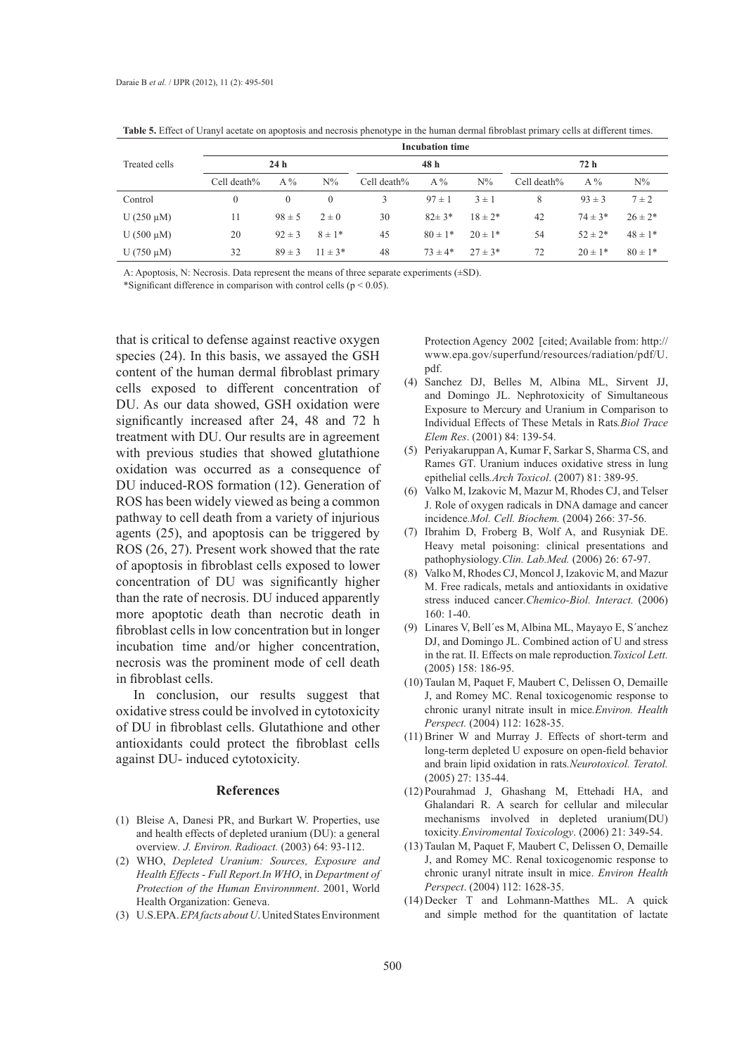|                 | <b>Incubation time</b> |            |             |             |             |             |             |             |             |
|-----------------|------------------------|------------|-------------|-------------|-------------|-------------|-------------|-------------|-------------|
| Treated cells   | 24 <sub>h</sub>        |            |             | 48 h        |             |             | 72 h        |             |             |
|                 | Cell death%            | $A\%$      | $N\%$       | Cell death% | $A\%$       | $N\%$       | Cell death% | $A\%$       | $N\%$       |
| Control         | $\boldsymbol{0}$       | $\Omega$   | $\Omega$    | 3           | $97 \pm 1$  | $3 \pm 1$   | 8           | $93 \pm 3$  | $7 \pm 2$   |
| U $(250 \mu M)$ | 11                     | $98 \pm 5$ | $2 \pm 0$   | 30          | $82 \pm 3*$ | $18 \pm 2*$ | 42          | $74 \pm 3*$ | $26 \pm 2*$ |
| U $(500 \mu M)$ | 20                     | $92 \pm 3$ | $8 \pm 1*$  | 45          | $80 \pm 1*$ | $20 \pm 1*$ | 54          | $52 \pm 2*$ | $48 \pm 1*$ |
| U $(750 \mu M)$ | 32                     | $89 \pm 3$ | $11 \pm 3*$ | 48          | $73 \pm 4*$ | $27 \pm 3*$ | 72          | $20 \pm 1*$ | $80 \pm 1*$ |

**Table 5.** Effect of Uranyl acetate on apoptosis and necrosis phenotype in the human dermal fibroblast primary cells at different times.

A: Apoptosis, N: Necrosis. Data represent the means of three separate experiments (±SD).

\*Significant difference in comparison with control cells ( $p \le 0.05$ ).

that is critical to defense against reactive oxygen species (24). In this basis, we assayed the GSH content of the human dermal fibroblast primary cells exposed to different concentration of DU. As our data showed, GSH oxidation were significantly increased after 24, 48 and 72 h treatment with DU. Our results are in agreement with previous studies that showed glutathione oxidation was occurred as a consequence of DU induced-ROS formation (12). Generation of ROS has been widely viewed as being a common pathway to cell death from a variety of injurious agents (25), and apoptosis can be triggered by ROS (26, 27). Present work showed that the rate of apoptosis in fibroblast cells exposed to lower concentration of DU was significantly higher than the rate of necrosis. DU induced apparently more apoptotic death than necrotic death in fibroblast cells in low concentration but in longer incubation time and/or higher concentration, necrosis was the prominent mode of cell death in fibroblast cells.

In conclusion, our results suggest that oxidative stress could be involved in cytotoxicity of DU in fibroblast cells. Glutathione and other antioxidants could protect the fibroblast cells against DU- induced cytotoxicity.

#### **References**

- Bleise A, Danesi PR, and Burkart W. Properties, use (1) and health effects of depleted uranium (DU): a general overview*. J. Environ. Radioact.* (2003) 64: 93-112.
- WHO, *Depleted Uranium: Sources, Exposure and*  (2) *Health Effects - Full Report.In WHO*, in *Department of Protection of the Human Environnment*. 2001, World Health Organization: Geneva.
- U.S.EPA. *EPA facts about U*. United States Environment (3)

Protection Agency 2002 [cited; Available from: http:// www.epa.gov/superfund/resources/radiation/pdf/U. pdf.

- Sanchez DJ, Belles M, Albina ML, Sirvent JJ, (4) and Domingo JL. Nephrotoxicity of Simultaneous Exposure to Mercury and Uranium in Comparison to Individual Effects of These Metals in Rats*.Biol Trace Elem Res*. (2001) 84: 139-54.
- Periyakaruppan A, Kumar F, Sarkar S, Sharma CS, and (5) Rames GT. Uranium induces oxidative stress in lung epithelial cells*.Arch Toxicol*. (2007) 81: 389-95.
- Valko M, Izakovic M, Mazur M, Rhodes CJ, and Telser J. Role of oxygen radicals in DNA damage and cancer incidence*.Mol. Cell. Biochem.* (2004) 266: 37-56. (6)
- (7) Ibrahim D, Froberg B, Wolf A, and Rusyniak DE. Heavy metal poisoning: clinical presentations and pathophysiology*.Clin. Lab.Med.* (2006) 26: 67-97.
- (8) Valko M, Rhodes CJ, Moncol J, Izakovic M, and Mazur M. Free radicals, metals and antioxidants in oxidative stress induced cancer*.Chemico-Biol. Interact.* (2006) 160: 1-40.
- Linares V, Bell´es M, Albina ML, Mayayo E, S´anchez (9) DJ, and Domingo JL. Combined action of U and stress in the rat. II. Effects on male reproduction*.Toxicol Lett.* (2005) 158: 186-95.
- (10) Taulan M, Paquet F, Maubert C, Delissen O, Demaille J, and Romey MC. Renal toxicogenomic response to chronic uranyl nitrate insult in mice*.Environ. Health Perspect.* (2004) 112: 1628-35.
- $(11)$  Briner W and Murray J. Effects of short-term and long-term depleted U exposure on open-field behavior and brain lipid oxidation in rats*.Neurotoxicol. Teratol.* (2005) 27: 135-44.
- (12) Pourahmad J, Ghashang M, Ettehadi HA, and Ghalandari R. A search for cellular and milecular mechanisms involved in depleted uranium(DU) toxicity*.Enviromental Toxicology*. (2006) 21: 349-54.
- (13) Taulan M, Paquet F, Maubert C, Delissen O, Demaille J, and Romey MC. Renal toxicogenomic response to chronic uranyl nitrate insult in mice. *Environ Health Perspect*. (2004) 112: 1628-35.
- (14) Decker T and Lohmann-Matthes ML. A quick and simple method for the quantitation of lactate